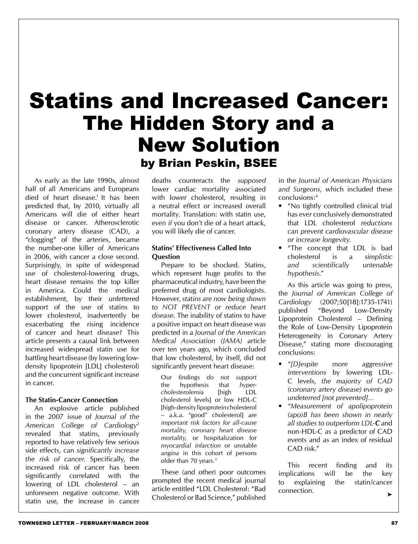# Statins and Increased Cancer: The Hidden Story and a New Solution by Brian Peskin, BSEE

 As early as the late 1990s, almost half of all Americans and Europeans died of heart disease.<sup>1</sup> It has been predicted that, by 2010, virtually all Americans will die of either heart disease or cancer. Atherosclerotic coronary artery disease (CAD), a "clogging" of the arteries, became the number-one killer of Americans in 2006, with cancer a close second. Surprisingly, in spite of widespread use of cholesterol-lowering drugs, heart disease remains the top killer in America. Could the medical establishment, by their unfettered support of the use of statins to lower cholesterol, inadvertently be exacerbating the rising incidence of cancer and heart disease? This article presents a causal link between increased widespread statin use for battling heart disease (by lowering lowdensity lipoprotein [LDL] cholesterol) and the concurrent significant increase in cancer.

#### **The Statin-Cancer Connection**

 An explosive article published in the 2007 issue of *Journal of the American College of Cardiology*<sup>2</sup> revealed that statins, previously reported to have relatively few serious side effects, can *significantly increase the risk of cancer*. Specifically, the increased risk of cancer has been significantly correlated with the lowering of LDL cholesterol – an unforeseen negative outcome. With statin use, the increase in cancer

deaths counteracts the *supposed* lower cardiac mortality associated with lower cholesterol, resulting in a neutral effect or increased overall mortality. Translation: with statin use, *even if* you don't die of a heart attack, you will likely die of cancer.

#### **Statins' Effectiveness Called Into Question**

 Prepare to be shocked. Statins, which represent huge profits to the pharmaceutical industry, have been the preferred drug of most cardiologists. However, *statins are now being shown to NOT PREVENT or reduce heart disease*. The inability of statins to have a positive impact on heart disease was predicted in a *Journal of the American Medical Association (JAMA)* article over ten years ago, which concluded that low cholesterol, by itself, did not significantly prevent heart disease:

Our findings *do not support* the hypothesis that *hypercholesterolemia* [high LDL cholesterol levels] or low HDL-C [high-density lipoprotein cholesterol – a.k.a. "good" cholesterol] are *important risk factors for all-cause mortality, coronary heart disease mortality,* or hospitalization for *myocardial infarction* or unstable *angina* in this cohort of persons older than 70 years.<sup>3</sup>

 These (and other) poor outcomes prompted the recent medical journal article entitled "LDL Cholesterol: "Bad Cholesterol or Bad Science," published

in the *Journal of American Physicians and Surgeons,* which included these conclusions: 4

- "No tightly controlled clinical trial has *ever* conclusively demonstrated that LDL cholesterol *reductions can prevent cardiovascular disease or increase longevity*.
- "The concept that LDL is bad cholesterol is a *simplistic and scientifically untenable hypothesis*.*"*

 As this article was going to press, the *Journal of American College of Cardiology* (2007;50[18]:1735-1741) published "Beyond Low-Density Lipoprotein Cholesterol – Defining the Role of Low-Density Lipoprotein Heterogeneity in Coronary Artery Disease," stating more discouraging conclusions:

- *• "[D]espite more aggressive interventions* by lowering LDL-C levels, *the majority of CAD (coronary artery disease) events go undeterred [not prevented]*…
- *• "Measurement of apolipoprotein (apo)B has been shown in nearly all studies to outperform LDL-C* and non-HDL-C as a predictor of CAD events and as an index of residual CAD risk"

 This recent finding and its implications will be the key to explaining the statin/cancer connection. ➤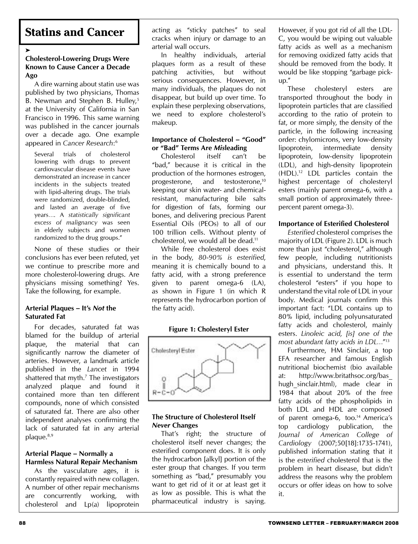# **Statins and Cancer**

➤

#### **Cholesterol-Lowering Drugs Were Known to Cause Cancer a Decade Ago**

 A dire warning about statin use was published by two physicians, Thomas B. Newman and Stephen B. Hulley,<sup>5</sup> at the University of California in San Francisco in 1996. This same warning was published in the cancer journals over a decade ago. One example appeared in *Cancer Research*: 6

Several trials of cholesterol lowering with drugs to prevent cardiovascular disease events have demonstrated an increase in cancer incidents in the subjects treated with lipid-altering drugs. The trials were randomized, double-blinded, and lasted an average of five years…. A *statistically significant excess of malignancy* was seen in elderly subjects and women randomized to the drug groups."

 None of these studies or their conclusions has ever been refuted, yet we continue to prescribe more and more cholesterol-lowering drugs. Are physicians missing something? Yes. Take the following, for example.

#### **Arterial Plaques – It's** *Not* **the Saturated Fat**

 For decades, saturated fat was blamed for the buildup of arterial plaque, the material that can significantly narrow the diameter of arteries. However, a landmark article published in the *Lancet* in 1994 shattered that myth.7 The investigators analyzed plaque and found it contained more than ten different compounds, none of which consisted of saturated fat. There are also other independent analyses confirming the lack of saturated fat in any arterial plaque.<sup>8,9</sup>

#### **Arterial Plaque – Normally a Harmless Natural Repair Mechanism**

 As the vasculature ages, it is constantly repaired with new collagen. A number of other repair mechanisms are concurrently working, with cholesterol and Lp(a) lipoprotein

acting as "sticky patches" to seal cracks when injury or damage to an arterial wall occurs.

 In healthy individuals, arterial plaques form as a result of these patching activities, but without serious consequences. However, in many individuals, the plaques do not disappear, but build up over time. To explain these perplexing observations, we need to explore cholesterol's makeup.

#### **Importance of Cholesterol – "Good" or "Bad" Terms Are** *Mis***leading**

 Cholesterol itself can't be "bad," because it is critical in the production of the hormones estrogen, progesterone, and testosterone,10 keeping our skin water- and chemicalresistant, manufacturing bile salts for digestion of fats, forming our bones, and delivering precious Parent Essential Oils (PEOs) to all of our 100 trillion cells. Without plenty of cholesterol, we would all be dead.11

 While free cholesterol does exist in the body, *80-90% is esterified*, meaning it is chemically bound to a fatty acid, with a strong preference given to parent omega-6 (LA), as shown in Figure 1 (in which R represents the hydrocarbon portion of the fatty acid).

#### **Figure 1: Cholesteryl Ester**



#### **The Structure of Cholesterol Itself**  *Never* **Changes**

 That's right; the structure of cholesterol itself never changes; the esterified component does. It is only the hydrocarbon [alkyl] portion of the ester group that changes. If you term something as "bad," presumably you want to get rid of it or at least get it as low as possible. This is what the pharmaceutical industry is saying.

However, if you got rid of all the LDL-C, you would be wiping out valuable fatty acids as well as a mechanism for removing oxidized fatty acids that should be removed from the body. It would be like stopping "garbage pickup."

 These cholesteryl esters are transported throughout the body in lipoprotein particles that are classified according to the ratio of protein to fat, or more simply, the density of the particle, in the following increasing order: chylomicrons, very low-density lipoprotein, intermediate density lipoprotein, low-density lipoprotein (LDL), and high-density lipoprotein (HDL).12 LDL particles contain the highest percentage of cholesteryl esters (mainly parent omega-6, with a small portion of approximately threepercent parent omega-3).

#### **Importance of Esterified Cholesterol**

*Esterified* cholesterol comprises the majority of LDL (Figure 2). LDL is much more than just "cholesterol," although few people, including nutritionists and physicians, understand this. It is essential to understand the term cholesterol "esters" if you hope to understand the vital role of LDL in your body. Medical journals confirm this important fact: "LDL contains up to 80% lipid, including polyunsaturated fatty acids and cholesterol, mainly esters. *Linoleic acid, [is] one of the most abundant fatty acids in LDL*…"13

 Furthermore, HM Sinclair, a top EFA researcher and famous English nutritional biochemist (bio available at: http://www.britathsoc.org/bas\_ hugh sinclair.html), made clear in 1984 that about 20% of the free fatty acids of the phospholipids in both LDL and HDL are composed of parent omega-6, too.<sup>14</sup> America's top cardiology publication, the *Journal of American College of Cardiology* (2007;50[18]:1735-1741), published information stating that it is the *esterified* cholesterol that is the problem in heart disease, but didn't address the reasons why the problem occurs or offer ideas on how to solve it.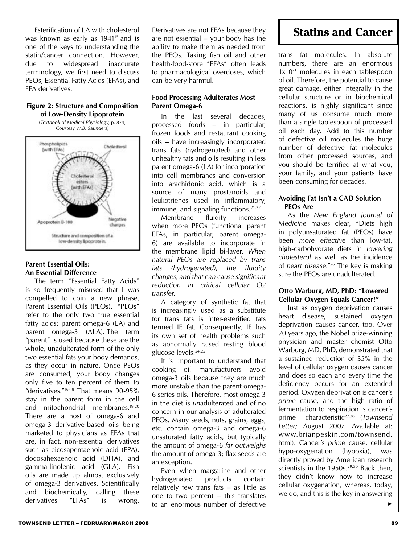Esterification of LA with cholesterol was known as early as 1941<sup>15</sup> and is one of the keys to understanding the statin/cancer connection. However, due to widespread inaccurate terminology, we first need to discuss PEOs, Essential Fatty Acids (EFAs), and EFA derivatives.

#### **Figure 2: Structure and Composition of Low-Density Lipoprotein**

(*Textbook of Medical Physiology*, p. 874, *Courtesy W.B. Saunders*)



#### **Parent Essential Oils: An Essential Difference**

 The term "Essential Fatty Acids" is so frequently misused that I was compelled to coin a new phrase, Parent Essential Oils (PEOs). "PEOs" refer to the only two true essential fatty acids: parent omega-6 (LA) and parent omega-3 (ALA). The term "parent" is used because these are the whole, unadulterated form of the only two essential fats your body demands, as they occur in nature. Once PEOs are consumed, your body changes only five to ten percent of them to "derivatives."16-18 That means 90-95% stay in the parent form in the cell and mitochondrial membranes.19,20 There are a host of omega-6 and omega-3 derivative-based oils being marketed to physicians as EFAs that are, in fact, non-essential derivatives such as eicosapentaenoic acid (EPA), docosahexaenoic acid (DHA), and gamma-linolenic acid (GLA). Fish oils are made up almost exclusively of omega-3 derivatives. Scientifically and biochemically, calling these

Derivatives are not EFAs because they are not essential – your body has the ability to make them as needed from the PEOs. Taking fish oil and other health-food-store "EFAs" often leads to pharmacological overdoses, which can be very harmful.

#### **Food Processing Adulterates Most Parent Omega-6**

 In the last several decades, processed foods – in particular, frozen foods and restaurant cooking oils – have increasingly incorporated trans fats (hydrogenated) and other unhealthy fats and oils resulting in less parent omega-6 (LA) for incorporation into cell membranes and conversion into arachidonic acid, which is a source of many prostanoids and leukotrienes used in inflammatory, immune, and signaling functions.<sup>21,22</sup>

 Membrane fluidity increases when more PEOs (functional parent EFAs, in particular, parent omega-6) are available to incorporate in the membrane lipid bi-layer. *When natural PEOs are replaced by trans fats (hydrogenated), the fluidity changes, and that can cause significant reduction in critical cellular O2 transfer.*

 A category of synthetic fat that is increasingly used as a substitute for trans fats is inter-esterified fats termed IE fat. Consequently, IE has its own set of health problems such as abnormally raised resting blood glucose levels.24,25

 It is important to understand that cooking oil manufacturers avoid omega-3 oils because they are much more unstable than the parent omega-6 series oils. Therefore, most omega-3 in the diet is *un*adulterated and of no concern in our analysis of adulterated PEOs. Many seeds, nuts, grains, eggs, etc. contain omega-3 and omega-6 unsaturated fatty acids, but typically the amount of omega-6 *far outweighs* the amount of omega-3; flax seeds are an exception.

 Even when margarine and other hydrogenated products contain relatively few trans fats – as little as one to two percent – this translates derivatives "EFAs" is wrong. 
derivatives exercise values of the control of defective ►

# **Statins and Cancer**

trans fat molecules. In absolute numbers, there are an enormous  $1x10^{21}$  molecules in each tablespoon of oil. Therefore, the potential to cause great damage, either integrally in the cellular structure or in biochemical reactions, is highly significant since many of us consume much more than a single tablespoon of processed oil each day. Add to this number of defective oil molecules the huge number of defective fat molecules from other processed sources, and you should be terrified at what you, your family, and your patients have been consuming for decades.

#### **Avoiding Fat Isn't a CAD Solution – PEOs Are**

 As the *New England Journal of Medicine* makes clear, "Diets high in polyunsaturated fat (PEOs) have been *more effective* than low-fat, high-carbohydrate diets in *lowering cholesterol* as well as the incidence of *heart disease*."26 The key is making sure the PEOs are unadulterated.

#### **Otto Warburg, MD, PhD: "Lowered Cellular Oxygen Equals Cancer!"**

 Just as oxygen deprivation causes heart disease, sustained oxygen deprivation causes cancer, too. Over 70 years ago, the Nobel prize-winning physician and master chemist Otto Warburg, MD, PhD, demonstrated that a sustained reduction of 35% in the level of cellular oxygen causes cancer and does so each and every time the deficiency occurs for an extended period. Oxygen deprivation is cancer's *prime* cause, and the high ratio of fermentation to respiration is cancer's prime characteristic27,28 (*Townsend Letter;* August 2007. Available at: www.brianpeskin.com/townsend. html). Cancer's *prime* cause, cellular hypo-oxygenation (hypoxia), was directly proved by American research scientists in the  $1950s.^{29,30}$  Back then, they didn't know how to increase cellular oxygenation, whereas, today, we do, and this is the key in answering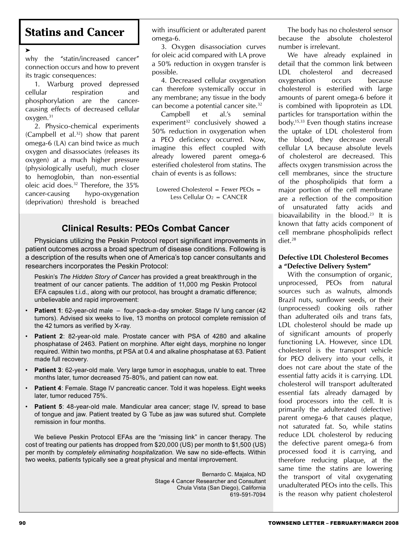## **Statins and Cancer**

➤

why the "statin/increased cancer" connection occurs and how to prevent its tragic consequences:

 1. Warburg proved depressed cellular respiration and phosphorylation are the cancercausing effects of decreased cellular oxygen.31

 2. Physico-chemical experiments (Campbell et al. $32$ ) show that parent omega-6 (LA) can bind twice as much oxygen and disassociates (releases its oxygen) at a much higher pressure (physiologically useful), much closer to hemoglobin, than non-essential oleic acid does.32 Therefore, the 35% cancer-causing hypo-oxygenation (deprivation) threshold is breached with insufficient or adulterated parent omega-6.

 3. Oxygen disassociation curves for oleic acid compared with LA prove a 50% reduction in oxygen transfer is possible.

 4. Decreased cellular oxygenation can therefore systemically occur in any membrane; any tissue in the body can become a potential cancer site.<sup>32</sup>

 Campbell et al.'s seminal experiment<sup>32</sup> conclusively showed a 50% reduction in oxygenation when a PEO deficiency occurred. Now, imagine this effect coupled with already lowered parent omega-6 esterified cholesterol from statins. The chain of events is as follows:

Lowered Cholesterol = Fewer  $PCOs =$ Less Cellular  $O_2 = CANCER$ 

#### **Clinical Results: PEOs Combat Cancer**

 Physicians utilizing the Peskin Protocol report significant improvements in patient outcomes across a broad spectrum of disease conditions. Following is a description of the results when one of America's top cancer consultants and researchers incorporates the Peskin Protocol:

Peskin's *The Hidden Story of Cancer* has provided a great breakthrough in the treatment of our cancer patients. The addition of 11,000 mg Peskin Protocol EFA capsules t.i.d., along with our protocol, has brought a dramatic difference; unbelievable and rapid improvement:

- **Patient 1**: 62-year-old male four-pack-a-day smoker. Stage IV lung cancer (42 tumors). Advised six weeks to live, 13 months on protocol complete remission of the 42 tumors as verified by X-ray.
- **Patient 2**: 82-year-old male. Prostate cancer with PSA of 4280 and alkaline phosphatase of 2463. Patient on morphine. After eight days, morphine no longer required. Within two months, pt PSA at 0.4 and alkaline phosphatase at 63. Patient made full recovery.
- **Patient 3**: 62-year-old male. Very large tumor in esophagus, unable to eat. Three months later, tumor decreased 75-80%, and patient can now eat.
- **Patient 4**: Female. Stage IV pancreatic cancer. Told it was hopeless. Eight weeks later, tumor reduced 75%.
- **Patient 5**: 48-year-old male. Mandicular area cancer; stage IV, spread to base of tongue and jaw. Patient treated by G Tube as jaw was sutured shut. Complete remission in four months.

 We believe Peskin Protocol EFAs are the "missing link" in cancer therapy. The cost of treating our patients has dropped from \$20,000 (US) per month to \$1,500 (US) per month by *completely eliminating hospitalization*. We saw no side-effects. Within two weeks, patients typically see a great physical and mental improvement.

> Bernardo C. Majalca, ND Stage 4 Cancer Researcher and Consultant Chula Vista (San Diego), California 619-591-7094

The body has no cholesterol sensor because the absolute cholesterol number is irrelevant.

We have already explained in detail that the common link between LDL cholesterol and decreased oxygenation occurs because cholesterol is esterified with large amounts of parent omega-6 before it is combined with lipoprotein as LDL particles for transportation within the body.15,33 Even though statins increase the uptake of LDL cholesterol from the blood, they decrease overall cellular LA because absolute levels of cholesterol are decreased. This affects oxygen transmission across the cell membranes, since the structure of the phospholipids that form a major portion of the cell membrane are a reflection of the composition of unsaturated fatty acids and bioavailability in the blood.<sup>23</sup> It is known that fatty acids component of cell membrane phospholipids reflect diet.28

#### **Defective LDL Cholesterol Becomes a "Defective Delivery System"**

 With the consumption of organic, unprocessed, PEOs from natural sources such as walnuts, almonds Brazil nuts, sunflower seeds, or their (unprocessed) cooking oils rather than adulterated oils and trans fats, LDL cholesterol should be made up of significant amounts of properly functioning LA. However, since LDL cholesterol is the transport vehicle for PEO delivery into your cells, it does not care about the state of the essential fatty acids it is carrying. LDL cholesterol will transport adulterated essential fats already damaged by food processors into the cell. It is primarily the adulterated (defective) parent omega-6 that causes plaque, not saturated fat. So, while statins reduce LDL cholesterol by reducing the defective parent omega-6 from processed food it is carrying, and therefore reducing plaque, at the same time the statins are lowering the transport of vital oxygenating unadulterated PEOs into the cells. This is the reason why patient cholesterol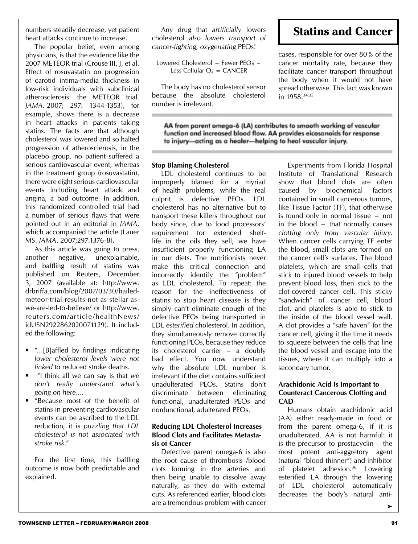The popular belief, even among physicians, is that the evidence like the 2007 METEOR trial (Crouse III, J, et al. Effect of rosuvastatin on progression of carotid intima-media thickness in low-risk individuals with subclinical atherosclerosis: the METEOR trial. *JAMA.* 2007; 297: 1344-1353), for example, shows there is a decrease in heart attacks in patients taking statins. The facts are that although cholesterol was lowered and so halted progression of atherosclerosis, in the placebo group, no patient suffered a serious cardiovascular event, whereas in the treatment group (rosuvastatin), there were eight serious cardiovascular events including heart attack and angina, a bad outcome. In addition, this randomized controlled trial had a number of serious flaws that were pointed out in an editorial in *JAMA*, which accompanied the article (Lauer MS. *JAMA*. 2007;297:1376-8).

 As this article was going to press, another negative, unexplainable, and baffling result of statins was published on Reuters, December 3, 2007 (available at: http://www. drbriffa.com/blog/2007/03/30/hailedmeteor-trial-results-not-as-stellar-aswe-are-led-to-believe/ or http://www. reuters.com/article/healthNews/ idUSN2922862020071129). It included the following:

- "...[B]affled by findings indicating *lower cholesterol levels were not linked* to reduced stroke deaths.
- "I think all we can say is that *we don't really understand what's going on here*….
- "Because most of the benefit of statins in preventing cardiovascular events can be ascribed to the LDL reduction, it is *puzzling that LDL cholesterol is not associated with stroke risk*."

 For the first time, this baffling outcome is now both predictable and explained.

 Any drug that *artificially* lowers cholesterol *also lowers transport of cancer-fighting, oxygenating* PEOs!

```
Lowered Cholesterol = Fewer PCOs =Less Cellular O_2 = CANCER
```
The body has no cholesterol sensor because the absolute cholesterol number is irrelevant.

# **Statins and Cancer**

cases, responsible for over 80% of the cancer mortality rate, because they facilitate cancer transport throughout the body when it would not have spread otherwise. This fact was known in 1958.34,35

AA from parent omega-6 (LA) contributes to smooth working of vascular function and increased blood flow. AA provides eicosanoids for response to injury-acting as a healer-helping to heal vascular injury.

#### **Stop Blaming Cholesterol**

 LDL cholesterol continues to be improperly blamed for a myriad of health problems, while the real culprit is defective PEOs. LDL cholesterol has no alternative but to transport these killers throughout our body since, due to food processors' requirement for extended shelflife in the oils they sell, we have insufficient properly functioning LA in our diets. The nutritionists never make this critical connection and incorrectly identify the "problem" as LDL cholesterol. To repeat: the reason for the ineffectiveness of statins to stop heart disease is they simply can't eliminate enough of the defective PEOs being transported in LDL *esterified* cholesterol. In addition, they simultaneously remove correctly functioning PEOs, because they reduce its cholesterol carrier – a doubly bad effect. You now understand why the absolute LDL number is irrelevant if the diet contains sufficient unadulterated PEOs. Statins don't discriminate between eliminating functional, unadulterated PEOs and nonfunctional, adulterated PEOs.

#### **Reducing LDL Cholesterol Increases Blood Clots and Facilitates Metastasis of Cancer**

 Defective parent omega-6 is also the root cause of thrombosis /blood clots forming in the arteries and then being unable to dissolve away naturally, as they do with external cuts. As referenced earlier, blood clots are a tremendous problem with cancer

 Experiments from Florida Hospital Institute of Translational Research show that blood clots are often caused by biochemical factors contained in small cancerous tumors, like Tissue Factor (TF), that otherwise is found only in normal tissue − not in the blood − that normally causes *clotting only from vascular injury*. When cancer cells carrying TF enter the blood, small clots are formed on the cancer cell's surfaces. The blood platelets, which are small cells that stick to injured blood vessels to help prevent blood loss, then stick to the clot-covered cancer cell. This sticky "sandwich" of cancer cell, blood clot, and platelets is able to stick to the inside of the blood vessel wall. A clot provides a "safe haven" for the cancer cell, giving it the time it needs to squeeze between the cells that line the blood vessel and escape into the tissues, where it can multiply into a secondary tumor.

#### **Arachidonic Acid Is Important to Counteract Cancerous Clotting and CAD**

 Humans obtain arachidonic acid (AA) either ready-made in food or from the parent omega-6, if it is unadulterated. AA is not harmful: it is the precursor to prostacyclin – the most potent anti-aggretory agent (natural "blood thinner") and inhibitor of platelet adhesion.<sup>36</sup> Lowering esterified LA through the lowering of LDL cholesterol automatically decreases the body's natural anti-

➤